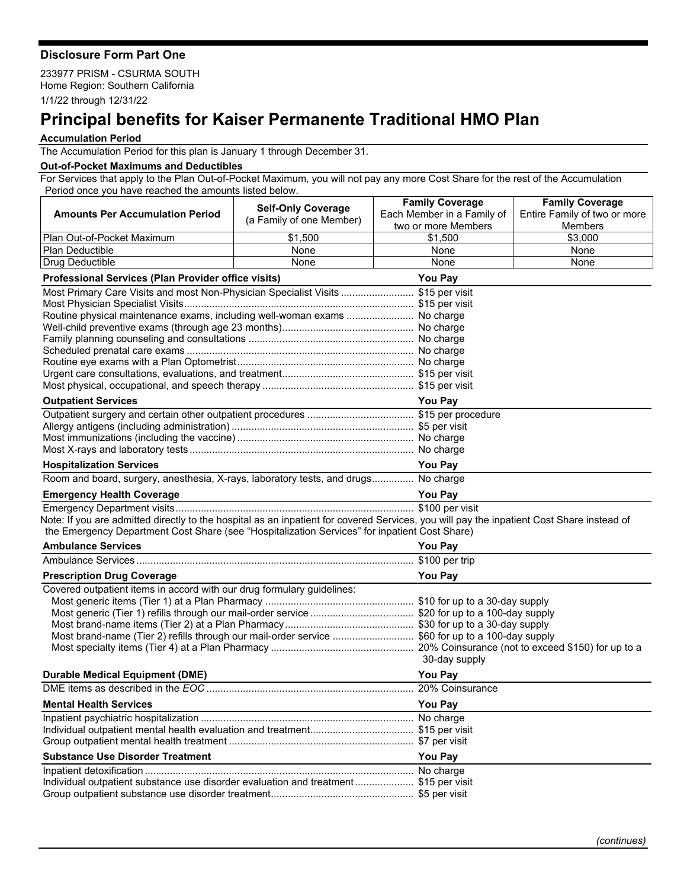## **Disclosure Form Part One**

233977 PRISM - CSURMA SOUTH Home Region: Southern California 1/1/22 through 12/31/22

## **Principal benefits for Kaiser Permanente Traditional HMO Plan**

## **Accumulation Period**

The Accumulation Period for this plan is January 1 through December 31.

## **Out-of-Pocket Maximums and Deductibles**

For Services that apply to the Plan Out-of-Pocket Maximum, you will not pay any more Cost Share for the rest of the Accumulation Period once you have reached the amounts listed below.

|                                                                                                                                           | <b>Self-Only Coverage</b>                         | <b>Family Coverage</b>     | <b>Family Coverage</b>       |  |
|-------------------------------------------------------------------------------------------------------------------------------------------|---------------------------------------------------|----------------------------|------------------------------|--|
| <b>Amounts Per Accumulation Period</b>                                                                                                    | (a Family of one Member)                          | Each Member in a Family of | Entire Family of two or more |  |
|                                                                                                                                           |                                                   | two or more Members        | <b>Members</b>               |  |
| Plan Out-of-Pocket Maximum                                                                                                                | $\overline{$}1,500$                               | \$1,500                    | \$3,000                      |  |
| <b>Plan Deductible</b>                                                                                                                    | None                                              | None                       | None<br>None                 |  |
| <b>Drug Deductible</b>                                                                                                                    | None                                              | None                       |                              |  |
| Professional Services (Plan Provider office visits)<br>You Pay                                                                            |                                                   |                            |                              |  |
| Most Primary Care Visits and most Non-Physician Specialist Visits  \$15 per visit                                                         |                                                   |                            |                              |  |
|                                                                                                                                           |                                                   |                            |                              |  |
| Routine physical maintenance exams, including well-woman exams  No charge                                                                 |                                                   |                            |                              |  |
|                                                                                                                                           |                                                   |                            |                              |  |
|                                                                                                                                           |                                                   |                            |                              |  |
|                                                                                                                                           |                                                   |                            |                              |  |
|                                                                                                                                           |                                                   |                            |                              |  |
|                                                                                                                                           |                                                   |                            |                              |  |
| <b>Outpatient Services</b>                                                                                                                |                                                   | <b>You Pay</b>             |                              |  |
|                                                                                                                                           |                                                   |                            |                              |  |
|                                                                                                                                           |                                                   |                            |                              |  |
|                                                                                                                                           |                                                   |                            |                              |  |
|                                                                                                                                           |                                                   |                            |                              |  |
| <b>Hospitalization Services</b>                                                                                                           |                                                   | <b>You Pay</b>             |                              |  |
| Room and board, surgery, anesthesia, X-rays, laboratory tests, and drugs No charge                                                        |                                                   |                            |                              |  |
| <b>Emergency Health Coverage</b>                                                                                                          | <u> 1980 - Johann Barbara, martxa alemaniar a</u> | You Pay                    |                              |  |
|                                                                                                                                           |                                                   |                            |                              |  |
| Note: If you are admitted directly to the hospital as an inpatient for covered Services, you will pay the inpatient Cost Share instead of |                                                   |                            |                              |  |
| the Emergency Department Cost Share (see "Hospitalization Services" for inpatient Cost Share)                                             |                                                   |                            |                              |  |
| <b>Ambulance Services</b><br><u> 1989 - Johann Barbara, martxa alemaniar amerikan a</u>                                                   |                                                   | <b>You Pay</b>             |                              |  |
|                                                                                                                                           |                                                   |                            |                              |  |
| <b>Prescription Drug Coverage</b>                                                                                                         |                                                   | You Pay                    |                              |  |
| Covered outpatient items in accord with our drug formulary guidelines:                                                                    |                                                   |                            |                              |  |
|                                                                                                                                           |                                                   |                            |                              |  |
| Most generic (Tier 1) refills through our mail-order service  \$20 for up to a 100-day supply                                             |                                                   |                            |                              |  |
|                                                                                                                                           |                                                   |                            |                              |  |
| Most brand-name (Tier 2) refills through our mail-order service  \$60 for up to a 100-day supply                                          |                                                   |                            |                              |  |
|                                                                                                                                           |                                                   | 30-day supply              |                              |  |
|                                                                                                                                           |                                                   |                            |                              |  |
| <b>Durable Medical Equipment (DME)</b>                                                                                                    |                                                   | You Pay                    |                              |  |
|                                                                                                                                           |                                                   |                            |                              |  |
| <b>Mental Health Services</b>                                                                                                             |                                                   | <b>You Pay</b>             |                              |  |
|                                                                                                                                           |                                                   |                            |                              |  |
|                                                                                                                                           |                                                   |                            |                              |  |
|                                                                                                                                           |                                                   |                            |                              |  |
| <b>Substance Use Disorder Treatment</b>                                                                                                   |                                                   | <b>You Pay</b>             |                              |  |
|                                                                                                                                           |                                                   |                            |                              |  |
| Individual outpatient substance use disorder evaluation and treatment \$15 per visit                                                      |                                                   |                            |                              |  |
|                                                                                                                                           |                                                   |                            |                              |  |